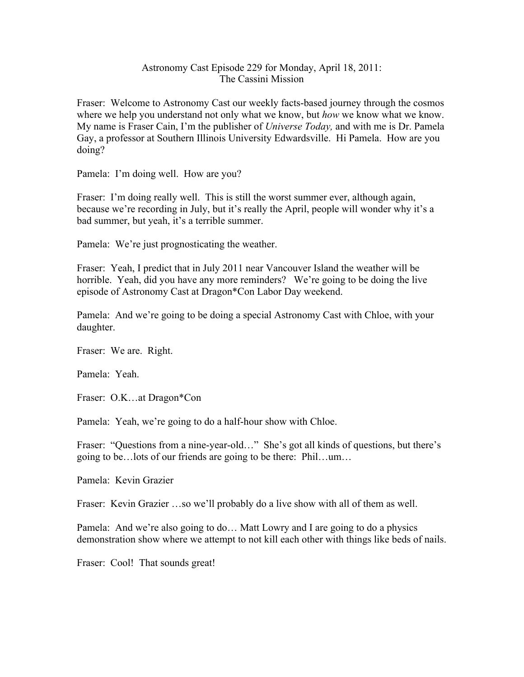## Astronomy Cast Episode 229 for Monday, April 18, 2011: The Cassini Mission

Fraser: Welcome to Astronomy Cast our weekly facts-based journey through the cosmos where we help you understand not only what we know, but *how* we know what we know. My name is Fraser Cain, I'm the publisher of *Universe Today,* and with me is Dr. Pamela Gay, a professor at Southern Illinois University Edwardsville. Hi Pamela. How are you doing?

Pamela: I'm doing well. How are you?

Fraser: I'm doing really well. This is still the worst summer ever, although again, because we're recording in July, but it's really the April, people will wonder why it's a bad summer, but yeah, it's a terrible summer.

Pamela: We're just prognosticating the weather.

Fraser: Yeah, I predict that in July 2011 near Vancouver Island the weather will be horrible. Yeah, did you have any more reminders? We're going to be doing the live episode of Astronomy Cast at Dragon\*Con Labor Day weekend.

Pamela: And we're going to be doing a special Astronomy Cast with Chloe, with your daughter.

Fraser: We are. Right.

Pamela: Yeah.

Fraser: O.K…at Dragon\*Con

Pamela: Yeah, we're going to do a half-hour show with Chloe.

Fraser: "Questions from a nine-year-old..." She's got all kinds of questions, but there's going to be…lots of our friends are going to be there: Phil…um…

Pamela: Kevin Grazier

Fraser: Kevin Grazier …so we'll probably do a live show with all of them as well.

Pamela: And we're also going to do… Matt Lowry and I are going to do a physics demonstration show where we attempt to not kill each other with things like beds of nails.

Fraser: Cool! That sounds great!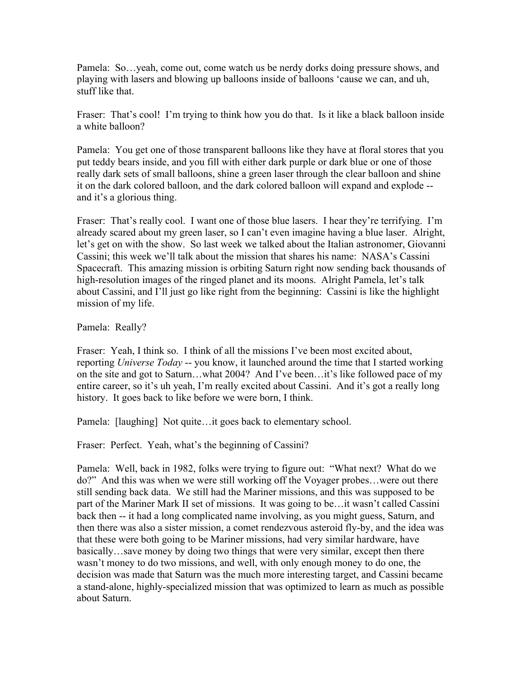Pamela: So…yeah, come out, come watch us be nerdy dorks doing pressure shows, and playing with lasers and blowing up balloons inside of balloons 'cause we can, and uh, stuff like that.

Fraser: That's cool! I'm trying to think how you do that. Is it like a black balloon inside a white balloon?

Pamela: You get one of those transparent balloons like they have at floral stores that you put teddy bears inside, and you fill with either dark purple or dark blue or one of those really dark sets of small balloons, shine a green laser through the clear balloon and shine it on the dark colored balloon, and the dark colored balloon will expand and explode - and it's a glorious thing.

Fraser: That's really cool. I want one of those blue lasers. I hear they're terrifying. I'm already scared about my green laser, so I can't even imagine having a blue laser. Alright, let's get on with the show. So last week we talked about the Italian astronomer, Giovanni Cassini; this week we'll talk about the mission that shares his name: NASA's Cassini Spacecraft. This amazing mission is orbiting Saturn right now sending back thousands of high-resolution images of the ringed planet and its moons. Alright Pamela, let's talk about Cassini, and I'll just go like right from the beginning: Cassini is like the highlight mission of my life.

Pamela: Really?

Fraser: Yeah, I think so. I think of all the missions I've been most excited about, reporting *Universe Today* -- you know, it launched around the time that I started working on the site and got to Saturn…what 2004? And I've been…it's like followed pace of my entire career, so it's uh yeah, I'm really excited about Cassini. And it's got a really long history. It goes back to like before we were born, I think.

Pamela: [laughing] Not quite…it goes back to elementary school.

Fraser: Perfect. Yeah, what's the beginning of Cassini?

Pamela: Well, back in 1982, folks were trying to figure out: "What next? What do we do?" And this was when we were still working off the Voyager probes…were out there still sending back data. We still had the Mariner missions, and this was supposed to be part of the Mariner Mark II set of missions. It was going to be…it wasn't called Cassini back then -- it had a long complicated name involving, as you might guess, Saturn, and then there was also a sister mission, a comet rendezvous asteroid fly-by, and the idea was that these were both going to be Mariner missions, had very similar hardware, have basically…save money by doing two things that were very similar, except then there wasn't money to do two missions, and well, with only enough money to do one, the decision was made that Saturn was the much more interesting target, and Cassini became a stand-alone, highly-specialized mission that was optimized to learn as much as possible about Saturn.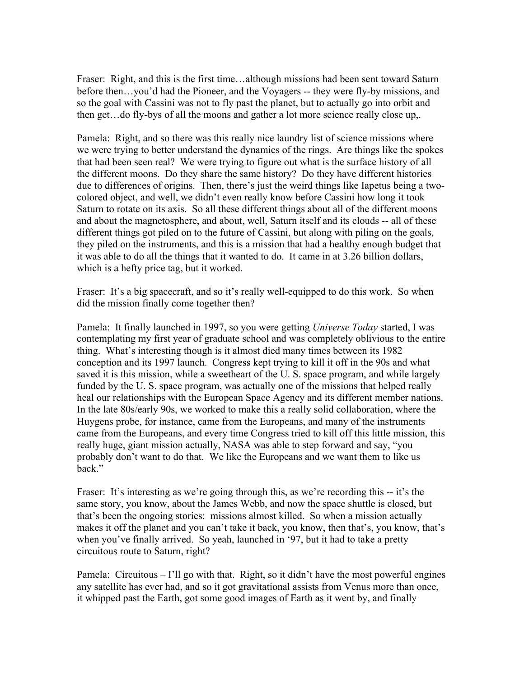Fraser: Right, and this is the first time…although missions had been sent toward Saturn before then…you'd had the Pioneer, and the Voyagers -- they were fly-by missions, and so the goal with Cassini was not to fly past the planet, but to actually go into orbit and then get…do fly-bys of all the moons and gather a lot more science really close up,.

Pamela: Right, and so there was this really nice laundry list of science missions where we were trying to better understand the dynamics of the rings. Are things like the spokes that had been seen real? We were trying to figure out what is the surface history of all the different moons. Do they share the same history? Do they have different histories due to differences of origins. Then, there's just the weird things like Iapetus being a twocolored object, and well, we didn't even really know before Cassini how long it took Saturn to rotate on its axis. So all these different things about all of the different moons and about the magnetosphere, and about, well, Saturn itself and its clouds -- all of these different things got piled on to the future of Cassini, but along with piling on the goals, they piled on the instruments, and this is a mission that had a healthy enough budget that it was able to do all the things that it wanted to do. It came in at 3.26 billion dollars, which is a hefty price tag, but it worked.

Fraser: It's a big spacecraft, and so it's really well-equipped to do this work. So when did the mission finally come together then?

Pamela: It finally launched in 1997, so you were getting *Universe Today* started, I was contemplating my first year of graduate school and was completely oblivious to the entire thing. What's interesting though is it almost died many times between its 1982 conception and its 1997 launch. Congress kept trying to kill it off in the 90s and what saved it is this mission, while a sweetheart of the U. S. space program, and while largely funded by the U. S. space program, was actually one of the missions that helped really heal our relationships with the European Space Agency and its different member nations. In the late 80s/early 90s, we worked to make this a really solid collaboration, where the Huygens probe, for instance, came from the Europeans, and many of the instruments came from the Europeans, and every time Congress tried to kill off this little mission, this really huge, giant mission actually, NASA was able to step forward and say, "you probably don't want to do that. We like the Europeans and we want them to like us back."

Fraser: It's interesting as we're going through this, as we're recording this -- it's the same story, you know, about the James Webb, and now the space shuttle is closed, but that's been the ongoing stories: missions almost killed. So when a mission actually makes it off the planet and you can't take it back, you know, then that's, you know, that's when you've finally arrived. So yeah, launched in '97, but it had to take a pretty circuitous route to Saturn, right?

Pamela: Circuitous – I'll go with that. Right, so it didn't have the most powerful engines any satellite has ever had, and so it got gravitational assists from Venus more than once, it whipped past the Earth, got some good images of Earth as it went by, and finally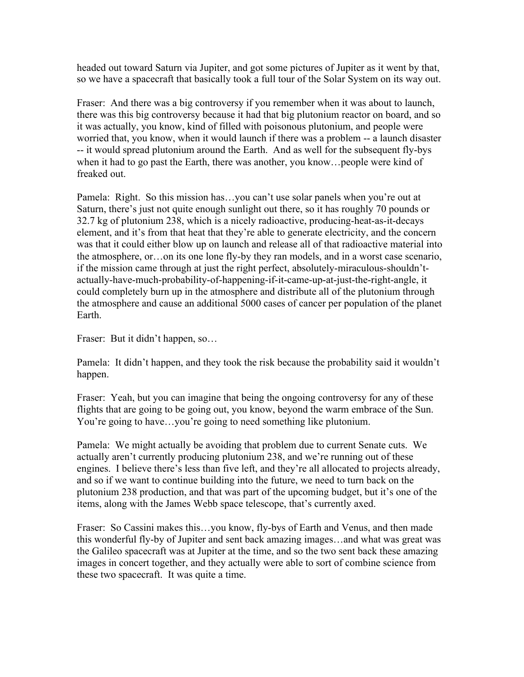headed out toward Saturn via Jupiter, and got some pictures of Jupiter as it went by that, so we have a spacecraft that basically took a full tour of the Solar System on its way out.

Fraser: And there was a big controversy if you remember when it was about to launch, there was this big controversy because it had that big plutonium reactor on board, and so it was actually, you know, kind of filled with poisonous plutonium, and people were worried that, you know, when it would launch if there was a problem -- a launch disaster -- it would spread plutonium around the Earth. And as well for the subsequent fly-bys when it had to go past the Earth, there was another, you know…people were kind of freaked out.

Pamela: Right. So this mission has...you can't use solar panels when you're out at Saturn, there's just not quite enough sunlight out there, so it has roughly 70 pounds or 32.7 kg of plutonium 238, which is a nicely radioactive, producing-heat-as-it-decays element, and it's from that heat that they're able to generate electricity, and the concern was that it could either blow up on launch and release all of that radioactive material into the atmosphere, or…on its one lone fly-by they ran models, and in a worst case scenario, if the mission came through at just the right perfect, absolutely-miraculous-shouldn'tactually-have-much-probability-of-happening-if-it-came-up-at-just-the-right-angle, it could completely burn up in the atmosphere and distribute all of the plutonium through the atmosphere and cause an additional 5000 cases of cancer per population of the planet Earth.

Fraser: But it didn't happen, so…

Pamela: It didn't happen, and they took the risk because the probability said it wouldn't happen.

Fraser: Yeah, but you can imagine that being the ongoing controversy for any of these flights that are going to be going out, you know, beyond the warm embrace of the Sun. You're going to have…you're going to need something like plutonium.

Pamela: We might actually be avoiding that problem due to current Senate cuts. We actually aren't currently producing plutonium 238, and we're running out of these engines. I believe there's less than five left, and they're all allocated to projects already, and so if we want to continue building into the future, we need to turn back on the plutonium 238 production, and that was part of the upcoming budget, but it's one of the items, along with the James Webb space telescope, that's currently axed.

Fraser: So Cassini makes this…you know, fly-bys of Earth and Venus, and then made this wonderful fly-by of Jupiter and sent back amazing images…and what was great was the Galileo spacecraft was at Jupiter at the time, and so the two sent back these amazing images in concert together, and they actually were able to sort of combine science from these two spacecraft. It was quite a time.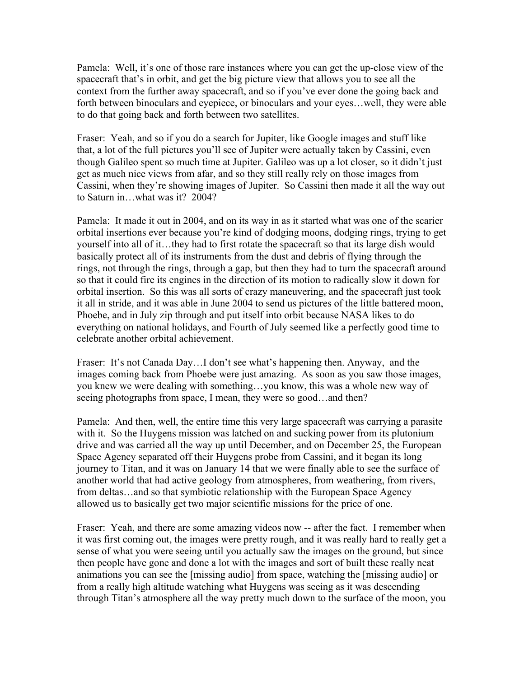Pamela: Well, it's one of those rare instances where you can get the up-close view of the spacecraft that's in orbit, and get the big picture view that allows you to see all the context from the further away spacecraft, and so if you've ever done the going back and forth between binoculars and eyepiece, or binoculars and your eyes…well, they were able to do that going back and forth between two satellites.

Fraser: Yeah, and so if you do a search for Jupiter, like Google images and stuff like that, a lot of the full pictures you'll see of Jupiter were actually taken by Cassini, even though Galileo spent so much time at Jupiter. Galileo was up a lot closer, so it didn't just get as much nice views from afar, and so they still really rely on those images from Cassini, when they're showing images of Jupiter. So Cassini then made it all the way out to Saturn in…what was it? 2004?

Pamela: It made it out in 2004, and on its way in as it started what was one of the scarier orbital insertions ever because you're kind of dodging moons, dodging rings, trying to get yourself into all of it…they had to first rotate the spacecraft so that its large dish would basically protect all of its instruments from the dust and debris of flying through the rings, not through the rings, through a gap, but then they had to turn the spacecraft around so that it could fire its engines in the direction of its motion to radically slow it down for orbital insertion. So this was all sorts of crazy maneuvering, and the spacecraft just took it all in stride, and it was able in June 2004 to send us pictures of the little battered moon, Phoebe, and in July zip through and put itself into orbit because NASA likes to do everything on national holidays, and Fourth of July seemed like a perfectly good time to celebrate another orbital achievement.

Fraser: It's not Canada Day…I don't see what's happening then. Anyway, and the images coming back from Phoebe were just amazing. As soon as you saw those images, you knew we were dealing with something…you know, this was a whole new way of seeing photographs from space, I mean, they were so good…and then?

Pamela: And then, well, the entire time this very large spacecraft was carrying a parasite with it. So the Huygens mission was latched on and sucking power from its plutonium drive and was carried all the way up until December, and on December 25, the European Space Agency separated off their Huygens probe from Cassini, and it began its long journey to Titan, and it was on January 14 that we were finally able to see the surface of another world that had active geology from atmospheres, from weathering, from rivers, from deltas…and so that symbiotic relationship with the European Space Agency allowed us to basically get two major scientific missions for the price of one.

Fraser: Yeah, and there are some amazing videos now -- after the fact. I remember when it was first coming out, the images were pretty rough, and it was really hard to really get a sense of what you were seeing until you actually saw the images on the ground, but since then people have gone and done a lot with the images and sort of built these really neat animations you can see the [missing audio] from space, watching the [missing audio] or from a really high altitude watching what Huygens was seeing as it was descending through Titan's atmosphere all the way pretty much down to the surface of the moon, you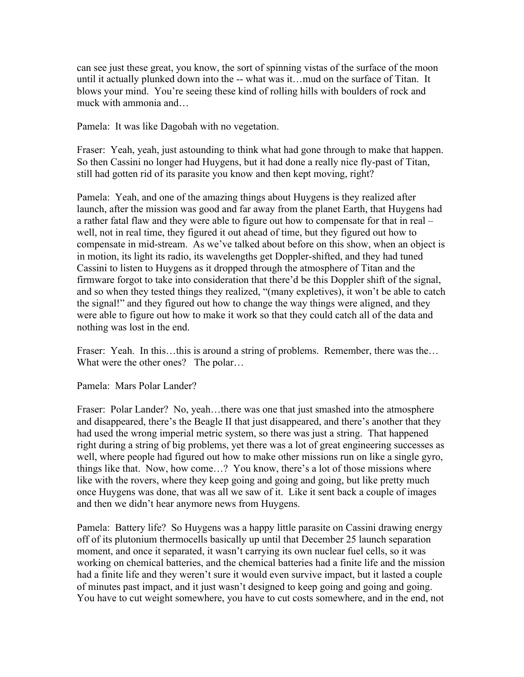can see just these great, you know, the sort of spinning vistas of the surface of the moon until it actually plunked down into the -- what was it…mud on the surface of Titan. It blows your mind. You're seeing these kind of rolling hills with boulders of rock and muck with ammonia and…

Pamela: It was like Dagobah with no vegetation.

Fraser: Yeah, yeah, just astounding to think what had gone through to make that happen. So then Cassini no longer had Huygens, but it had done a really nice fly-past of Titan, still had gotten rid of its parasite you know and then kept moving, right?

Pamela: Yeah, and one of the amazing things about Huygens is they realized after launch, after the mission was good and far away from the planet Earth, that Huygens had a rather fatal flaw and they were able to figure out how to compensate for that in real – well, not in real time, they figured it out ahead of time, but they figured out how to compensate in mid-stream. As we've talked about before on this show, when an object is in motion, its light its radio, its wavelengths get Doppler-shifted, and they had tuned Cassini to listen to Huygens as it dropped through the atmosphere of Titan and the firmware forgot to take into consideration that there'd be this Doppler shift of the signal, and so when they tested things they realized, "(many expletives), it won't be able to catch the signal!" and they figured out how to change the way things were aligned, and they were able to figure out how to make it work so that they could catch all of the data and nothing was lost in the end.

Fraser: Yeah. In this...this is around a string of problems. Remember, there was the... What were the other ones? The polar...

Pamela: Mars Polar Lander?

Fraser: Polar Lander? No, yeah…there was one that just smashed into the atmosphere and disappeared, there's the Beagle II that just disappeared, and there's another that they had used the wrong imperial metric system, so there was just a string. That happened right during a string of big problems, yet there was a lot of great engineering successes as well, where people had figured out how to make other missions run on like a single gyro, things like that. Now, how come…? You know, there's a lot of those missions where like with the rovers, where they keep going and going and going, but like pretty much once Huygens was done, that was all we saw of it. Like it sent back a couple of images and then we didn't hear anymore news from Huygens.

Pamela: Battery life? So Huygens was a happy little parasite on Cassini drawing energy off of its plutonium thermocells basically up until that December 25 launch separation moment, and once it separated, it wasn't carrying its own nuclear fuel cells, so it was working on chemical batteries, and the chemical batteries had a finite life and the mission had a finite life and they weren't sure it would even survive impact, but it lasted a couple of minutes past impact, and it just wasn't designed to keep going and going and going. You have to cut weight somewhere, you have to cut costs somewhere, and in the end, not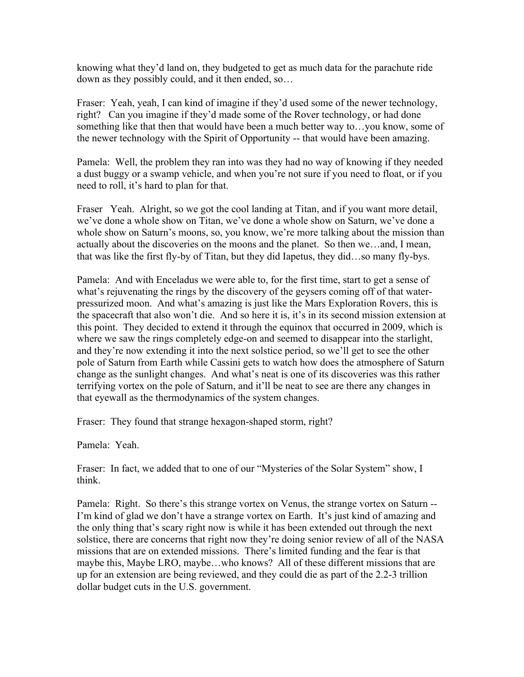knowing what they'd land on, they budgeted to get as much data for the parachute ride down as they possibly could, and it then ended, so…

Fraser: Yeah, yeah, I can kind of imagine if they'd used some of the newer technology, right? Can you imagine if they'd made some of the Rover technology, or had done something like that then that would have been a much better way to…you know, some of the newer technology with the Spirit of Opportunity -- that would have been amazing.

Pamela: Well, the problem they ran into was they had no way of knowing if they needed a dust buggy or a swamp vehicle, and when you're not sure if you need to float, or if you need to roll, it's hard to plan for that.

Fraser Yeah. Alright, so we got the cool landing at Titan, and if you want more detail, we've done a whole show on Titan, we've done a whole show on Saturn, we've done a whole show on Saturn's moons, so, you know, we're more talking about the mission than actually about the discoveries on the moons and the planet. So then we…and, I mean, that was like the first fly-by of Titan, but they did Iapetus, they did…so many fly-bys.

Pamela: And with Enceladus we were able to, for the first time, start to get a sense of what's rejuvenating the rings by the discovery of the geysers coming off of that waterpressurized moon. And what's amazing is just like the Mars Exploration Rovers, this is the spacecraft that also won't die. And so here it is, it's in its second mission extension at this point. They decided to extend it through the equinox that occurred in 2009, which is where we saw the rings completely edge-on and seemed to disappear into the starlight, and they're now extending it into the next solstice period, so we'll get to see the other pole of Saturn from Earth while Cassini gets to watch how does the atmosphere of Saturn change as the sunlight changes. And what's neat is one of its discoveries was this rather terrifying vortex on the pole of Saturn, and it'll be neat to see are there any changes in that eyewall as the thermodynamics of the system changes.

Fraser: They found that strange hexagon-shaped storm, right?

Pamela: Yeah.

Fraser: In fact, we added that to one of our "Mysteries of the Solar System" show, I think.

Pamela: Right. So there's this strange vortex on Venus, the strange vortex on Saturn -- I'm kind of glad we don't have a strange vortex on Earth. It's just kind of amazing and the only thing that's scary right now is while it has been extended out through the next solstice, there are concerns that right now they're doing senior review of all of the NASA missions that are on extended missions. There's limited funding and the fear is that maybe this, Maybe LRO, maybe…who knows? All of these different missions that are up for an extension are being reviewed, and they could die as part of the 2.2-3 trillion dollar budget cuts in the U.S. government.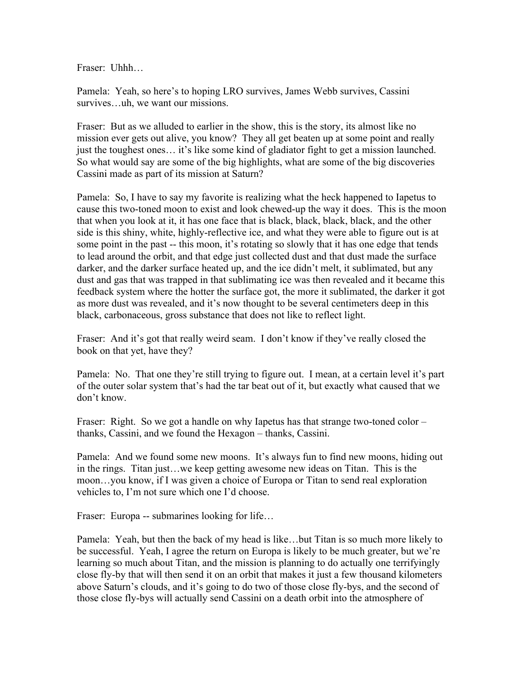Fraser: Uhhh…

Pamela: Yeah, so here's to hoping LRO survives, James Webb survives, Cassini survives…uh, we want our missions.

Fraser: But as we alluded to earlier in the show, this is the story, its almost like no mission ever gets out alive, you know? They all get beaten up at some point and really just the toughest ones… it's like some kind of gladiator fight to get a mission launched. So what would say are some of the big highlights, what are some of the big discoveries Cassini made as part of its mission at Saturn?

Pamela: So, I have to say my favorite is realizing what the heck happened to Iapetus to cause this two-toned moon to exist and look chewed-up the way it does. This is the moon that when you look at it, it has one face that is black, black, black, black, and the other side is this shiny, white, highly-reflective ice, and what they were able to figure out is at some point in the past -- this moon, it's rotating so slowly that it has one edge that tends to lead around the orbit, and that edge just collected dust and that dust made the surface darker, and the darker surface heated up, and the ice didn't melt, it sublimated, but any dust and gas that was trapped in that sublimating ice was then revealed and it became this feedback system where the hotter the surface got, the more it sublimated, the darker it got as more dust was revealed, and it's now thought to be several centimeters deep in this black, carbonaceous, gross substance that does not like to reflect light.

Fraser: And it's got that really weird seam. I don't know if they've really closed the book on that yet, have they?

Pamela: No. That one they're still trying to figure out. I mean, at a certain level it's part of the outer solar system that's had the tar beat out of it, but exactly what caused that we don't know.

Fraser: Right. So we got a handle on why Iapetus has that strange two-toned color – thanks, Cassini, and we found the Hexagon – thanks, Cassini.

Pamela: And we found some new moons. It's always fun to find new moons, hiding out in the rings. Titan just…we keep getting awesome new ideas on Titan. This is the moon…you know, if I was given a choice of Europa or Titan to send real exploration vehicles to, I'm not sure which one I'd choose.

Fraser: Europa -- submarines looking for life...

Pamela: Yeah, but then the back of my head is like…but Titan is so much more likely to be successful. Yeah, I agree the return on Europa is likely to be much greater, but we're learning so much about Titan, and the mission is planning to do actually one terrifyingly close fly-by that will then send it on an orbit that makes it just a few thousand kilometers above Saturn's clouds, and it's going to do two of those close fly-bys, and the second of those close fly-bys will actually send Cassini on a death orbit into the atmosphere of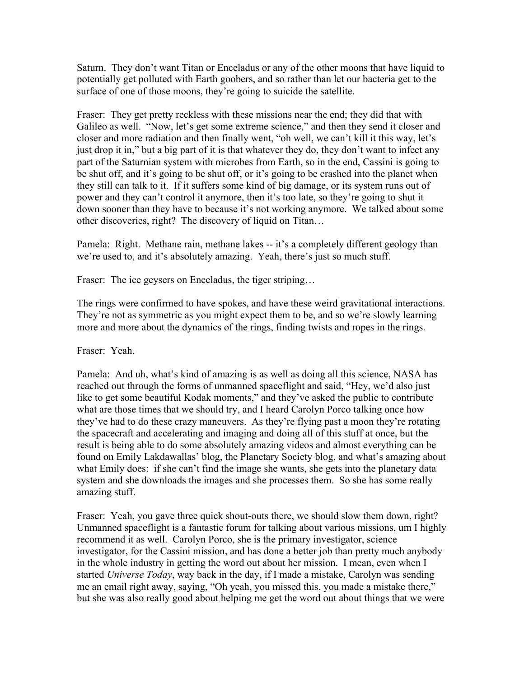Saturn. They don't want Titan or Enceladus or any of the other moons that have liquid to potentially get polluted with Earth goobers, and so rather than let our bacteria get to the surface of one of those moons, they're going to suicide the satellite.

Fraser: They get pretty reckless with these missions near the end; they did that with Galileo as well. "Now, let's get some extreme science," and then they send it closer and closer and more radiation and then finally went, "oh well, we can't kill it this way, let's just drop it in," but a big part of it is that whatever they do, they don't want to infect any part of the Saturnian system with microbes from Earth, so in the end, Cassini is going to be shut off, and it's going to be shut off, or it's going to be crashed into the planet when they still can talk to it. If it suffers some kind of big damage, or its system runs out of power and they can't control it anymore, then it's too late, so they're going to shut it down sooner than they have to because it's not working anymore. We talked about some other discoveries, right? The discovery of liquid on Titan…

Pamela: Right. Methane rain, methane lakes -- it's a completely different geology than we're used to, and it's absolutely amazing. Yeah, there's just so much stuff.

Fraser: The ice geysers on Enceladus, the tiger striping...

The rings were confirmed to have spokes, and have these weird gravitational interactions. They're not as symmetric as you might expect them to be, and so we're slowly learning more and more about the dynamics of the rings, finding twists and ropes in the rings.

Fraser: Yeah.

Pamela: And uh, what's kind of amazing is as well as doing all this science, NASA has reached out through the forms of unmanned spaceflight and said, "Hey, we'd also just like to get some beautiful Kodak moments," and they've asked the public to contribute what are those times that we should try, and I heard Carolyn Porco talking once how they've had to do these crazy maneuvers. As they're flying past a moon they're rotating the spacecraft and accelerating and imaging and doing all of this stuff at once, but the result is being able to do some absolutely amazing videos and almost everything can be found on Emily Lakdawallas' blog, the Planetary Society blog, and what's amazing about what Emily does: if she can't find the image she wants, she gets into the planetary data system and she downloads the images and she processes them. So she has some really amazing stuff.

Fraser: Yeah, you gave three quick shout-outs there, we should slow them down, right? Unmanned spaceflight is a fantastic forum for talking about various missions, um I highly recommend it as well. Carolyn Porco, she is the primary investigator, science investigator, for the Cassini mission, and has done a better job than pretty much anybody in the whole industry in getting the word out about her mission. I mean, even when I started *Universe Today*, way back in the day, if I made a mistake, Carolyn was sending me an email right away, saying, "Oh yeah, you missed this, you made a mistake there," but she was also really good about helping me get the word out about things that we were